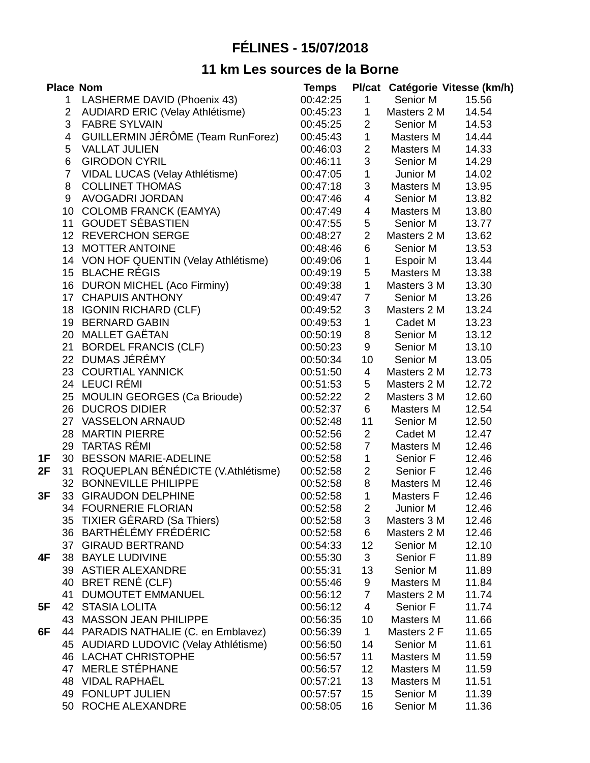## **FÉLINES - 15/07/2018**

## **11 km Les sources de la Borne**

|    |                 | <b>Place Nom</b>                       | <b>Temps</b> |                |                  | Pl/cat Catégorie Vitesse (km/h) |
|----|-----------------|----------------------------------------|--------------|----------------|------------------|---------------------------------|
|    | $\mathbf{1}$    | LASHERME DAVID (Phoenix 43)            | 00:42:25     | $\mathbf{1}$   | Senior M         | 15.56                           |
|    | $2^{\circ}$     | <b>AUDIARD ERIC (Velay Athlétisme)</b> | 00:45:23     | $\mathbf{1}$   | Masters 2 M      | 14.54                           |
|    | 3               | <b>FABRE SYLVAIN</b>                   | 00:45:25     | $\overline{2}$ | Senior M         | 14.53                           |
|    | 4               | GUILLERMIN JÉRÔME (Team RunForez)      | 00:45:43     | $\mathbf 1$    | Masters M        | 14.44                           |
|    | 5               | <b>VALLAT JULIEN</b>                   | 00:46:03     | $\overline{c}$ | Masters M        | 14.33                           |
|    | 6               | <b>GIRODON CYRIL</b>                   | 00:46:11     | 3              | Senior M         | 14.29                           |
|    | $\overline{7}$  | VIDAL LUCAS (Velay Athlétisme)         | 00:47:05     | $\mathbf 1$    | Junior M         | 14.02                           |
|    | 8               | <b>COLLINET THOMAS</b>                 | 00:47:18     | 3              | Masters M        | 13.95                           |
|    | 9               | AVOGADRI JORDAN                        | 00:47:46     | 4              | Senior M         | 13.82                           |
|    | 10              | <b>COLOMB FRANCK (EAMYA)</b>           | 00:47:49     | $\overline{4}$ | Masters M        | 13.80                           |
|    |                 | 11 GOUDET SÉBASTIEN                    | 00:47:55     | 5              | Senior M         | 13.77                           |
|    |                 | 12 REVERCHON SERGE                     | 00:48:27     | $\overline{2}$ | Masters 2 M      | 13.62                           |
|    |                 | 13 MOTTER ANTOINE                      | 00:48:46     | 6              | Senior M         | 13.53                           |
|    |                 | 14 VON HOF QUENTIN (Velay Athlétisme)  | 00:49:06     | $\mathbf 1$    | Espoir M         | 13.44                           |
|    |                 | 15 BLACHE RÉGIS                        | 00:49:19     | 5              | Masters M        | 13.38                           |
|    |                 | 16 DURON MICHEL (Aco Firminy)          | 00:49:38     | $\mathbf{1}$   | Masters 3 M      | 13.30                           |
|    |                 | 17 CHAPUIS ANTHONY                     | 00:49:47     | $\overline{7}$ | Senior M         | 13.26                           |
|    |                 | 18 IGONIN RICHARD (CLF)                | 00:49:52     | 3              | Masters 2 M      | 13.24                           |
|    |                 | 19 BERNARD GABIN                       | 00:49:53     | $\mathbf 1$    | Cadet M          | 13.23                           |
|    |                 | 20 MALLET GAËTAN                       | 00:50:19     | 8              | Senior M         | 13.12                           |
|    |                 | 21 BORDEL FRANCIS (CLF)                | 00:50:23     | 9              | Senior M         | 13.10                           |
|    | 22 <sub>2</sub> | <b>DUMAS JÉRÉMY</b>                    | 00:50:34     | 10             | Senior M         | 13.05                           |
|    |                 | 23 COURTIAL YANNICK                    | 00:51:50     | $\overline{4}$ | Masters 2 M      | 12.73                           |
|    |                 | 24 LEUCI RÉMI                          | 00:51:53     | 5              | Masters 2 M      | 12.72                           |
|    |                 | 25 MOULIN GEORGES (Ca Brioude)         | 00:52:22     | $\overline{2}$ | Masters 3 M      | 12.60                           |
|    |                 | 26 DUCROS DIDIER                       | 00:52:37     | 6              | Masters M        | 12.54                           |
|    |                 | 27 VASSELON ARNAUD                     | 00:52:48     | 11             | Senior M         | 12.50                           |
|    |                 | 28 MARTIN PIERRE                       | 00:52:56     | $\overline{2}$ | Cadet M          | 12.47                           |
|    |                 | 29 TARTAS RÉMI                         | 00:52:58     | $\overline{7}$ | Masters M        | 12.46                           |
| 1F |                 | 30 BESSON MARIE-ADELINE                | 00:52:58     | $\mathbf 1$    | Senior F         | 12.46                           |
| 2F |                 | 31 ROQUEPLAN BÉNÉDICTE (V.Athlétisme)  | 00:52:58     | $\overline{2}$ | Senior F         | 12.46                           |
|    |                 | 32 BONNEVILLE PHILIPPE                 | 00:52:58     | 8              | Masters M        | 12.46                           |
| 3F |                 | 33 GIRAUDON DELPHINE                   | 00:52:58     | $\mathbf{1}$   | Masters F        | 12.46                           |
|    |                 | 34 FOURNERIE FLORIAN                   | 00:52:58     | $\overline{2}$ | Junior M         | 12.46                           |
|    |                 | 35 TIXIER GÉRARD (Sa Thiers)           | 00:52:58     | 3              | Masters 3 M      | 12.46                           |
|    |                 | 36 BARTHÉLÉMY FRÉDÉRIC                 | 00:52:58     | 6              | Masters 2 M      | 12.46                           |
|    |                 | 37 GIRAUD BERTRAND                     | 00:54:33     | 12             | Senior M         | 12.10                           |
| 4F |                 | 38 BAYLE LUDIVINE                      | 00:55:30     | 3              | Senior F         | 11.89                           |
|    |                 | 39 ASTIER ALEXANDRE                    | 00:55:31     | 13             | Senior M         | 11.89                           |
|    |                 | 40 BRET RENÉ (CLF)                     | 00:55:46     | 9              | Masters M        | 11.84                           |
|    |                 | 41 DUMOUTET EMMANUEL                   | 00:56:12     | $\overline{7}$ | Masters 2 M      | 11.74                           |
| 5F |                 | <b>42 STASIA LOLITA</b>                | 00:56:12     | 4              | Senior F         | 11.74                           |
|    | 43              | <b>MASSON JEAN PHILIPPE</b>            | 00:56:35     | 10             | Masters M        | 11.66                           |
| 6F | 44              | PARADIS NATHALIE (C. en Emblavez)      | 00:56:39     | $\mathbf{1}$   | Masters 2 F      | 11.65                           |
|    |                 | 45 AUDIARD LUDOVIC (Velay Athlétisme)  | 00:56:50     | 14             | Senior M         | 11.61                           |
|    |                 | 46 LACHAT CHRISTOPHE                   | 00:56:57     | 11             | Masters M        | 11.59                           |
|    |                 | 47 MERLE STÉPHANE                      | 00:56:57     | 12             | Masters M        | 11.59                           |
|    |                 | 48 VIDAL RAPHAËL                       | 00:57:21     | 13             | <b>Masters M</b> | 11.51                           |
|    |                 | 49 FONLUPT JULIEN                      | 00:57:57     | 15             | Senior M         | 11.39                           |
|    |                 | 50 ROCHE ALEXANDRE                     | 00:58:05     | 16             | Senior M         | 11.36                           |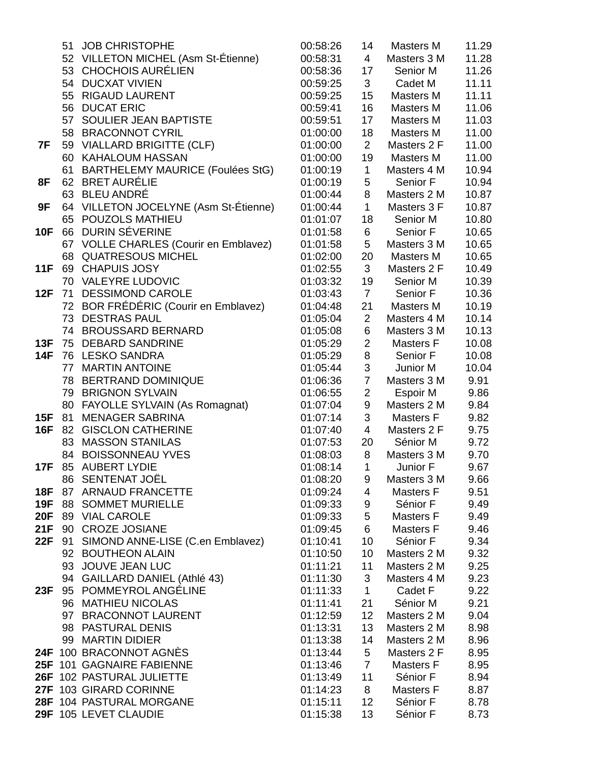|            |    | 51 JOB CHRISTOPHE                     | 00:58:26 | 14             | <b>Masters M</b>    | 11.29 |
|------------|----|---------------------------------------|----------|----------------|---------------------|-------|
|            |    | 52 VILLETON MICHEL (Asm St-Étienne)   | 00:58:31 | $\overline{4}$ | Masters 3 M         | 11.28 |
|            |    | 53 CHOCHOIS AURÉLIEN                  | 00:58:36 | 17             | Senior M            | 11.26 |
|            |    | 54 DUCXAT VIVIEN                      | 00:59:25 | 3              | Cadet M             | 11.11 |
|            |    | 55 RIGAUD LAURENT                     | 00:59:25 | 15             | Masters M           | 11.11 |
|            |    | 56 DUCAT ERIC                         | 00:59:41 | 16             | Masters M           | 11.06 |
|            |    | 57 SOULIER JEAN BAPTISTE              | 00:59:51 | 17             | Masters M           | 11.03 |
|            |    | 58 BRACONNOT CYRIL                    | 01:00:00 | 18             | Masters M           | 11.00 |
| 7F         |    | 59 VIALLARD BRIGITTE (CLF)            | 01:00:00 | $\overline{2}$ | Masters 2 F         | 11.00 |
|            |    | 60 KAHALOUM HASSAN                    | 01:00:00 | 19             | Masters M           | 11.00 |
|            |    | 61 BARTHELEMY MAURICE (Foulées StG)   | 01:00:19 | $\mathbf{1}$   | Masters 4 M         | 10.94 |
| 8F         |    | 62 BRET AURÉLIE                       | 01:00:19 | 5              | Senior F            | 10.94 |
|            |    | 63 BLEU ANDRÉ                         | 01:00:44 | 8              | Masters 2 M         | 10.87 |
| 9F         |    | 64 VILLETON JOCELYNE (Asm St-Étienne) | 01:00:44 | $\mathbf 1$    | Masters 3 F         | 10.87 |
|            |    | 65 POUZOLS MATHIEU                    | 01:01:07 | 18             | Senior M            | 10.80 |
| <b>10F</b> |    | 66 DURIN SÉVERINE                     | 01:01:58 | 6              | Senior F            | 10.65 |
|            |    | 67 VOLLE CHARLES (Courir en Emblavez) | 01:01:58 | 5              | Masters 3 M         | 10.65 |
|            |    | 68 OUATRESOUS MICHEL                  | 01:02:00 | 20             | Masters M           | 10.65 |
| <b>11F</b> |    | 69 CHAPUIS JOSY                       | 01:02:55 | 3              | Masters 2 F         | 10.49 |
|            |    | 70 VALEYRE LUDOVIC                    | 01:03:32 | 19             | Senior M            | 10.39 |
| 12F        |    | 71 DESSIMOND CAROLE                   | 01:03:43 | $\overline{7}$ | Senior F            | 10.36 |
|            |    | 72 BOR FRÉDÉRIC (Courir en Emblavez)  | 01:04:48 | 21             | Masters M           | 10.19 |
|            |    | 73 DESTRAS PAUL                       | 01:05:04 | $\overline{2}$ | Masters 4 M         | 10.14 |
|            |    | 74 BROUSSARD BERNARD                  | 01:05:08 | 6              | Masters 3 M         | 10.13 |
| 13F        | 75 | <b>DEBARD SANDRINE</b>                | 01:05:29 | $\overline{2}$ | <b>Masters F</b>    | 10.08 |
| 14F        |    | 76 LESKO SANDRA                       | 01:05:29 | 8              | Senior F            | 10.08 |
|            |    | 77 MARTIN ANTOINE                     | 01:05:44 | 3              | Junior M            | 10.04 |
|            |    | 78 BERTRAND DOMINIQUE                 | 01:06:36 | $\overline{7}$ | Masters 3 M         | 9.91  |
|            |    | 79 BRIGNON SYLVAIN                    | 01:06:55 | $\overline{c}$ | Espoir M            | 9.86  |
|            |    | 80 FAYOLLE SYLVAIN (As Romagnat)      | 01:07:04 | 9              | Masters 2 M         | 9.84  |
| <b>15F</b> |    | 81 MENAGER SABRINA                    | 01:07:14 | 3              | Masters F           | 9.82  |
| <b>16F</b> | 82 | <b>GISCLON CATHERINE</b>              | 01:07:40 | 4              | Masters 2 F         | 9.75  |
|            |    | 83 MASSON STANILAS                    | 01:07:53 | 20             | Sénior M            | 9.72  |
|            |    | 84 BOISSONNEAU YVES                   | 01:08:03 | 8              | Masters 3 M         | 9.70  |
| 17F        |    | 85 AUBERT LYDIE                       | 01:08:14 | $\mathbf{1}$   | Junior F            | 9.67  |
|            |    | 86 SENTENAT JOËL                      | 01:08:20 | 9              | Masters 3 M         | 9.66  |
| 18F        |    | 87 ARNAUD FRANCETTE                   | 01:09:24 | 4              | Masters F           | 9.51  |
| <b>19F</b> |    | <b>88 SOMMET MURIELLE</b>             | 01:09:33 | 9              | Sénior F            | 9.49  |
| <b>20F</b> |    | 89 VIAL CAROLE                        | 01:09:33 | 5              | <b>Masters F</b>    | 9.49  |
| 21F        |    | 90 CROZE JOSIANE                      | 01:09:45 | 6              | Masters F           | 9.46  |
| 22F        |    | 91 SIMOND ANNE-LISE (C.en Emblavez)   | 01:10:41 | 10             | Sénior F            | 9.34  |
|            |    | 92 BOUTHEON ALAIN                     | 01:10:50 | 10             | Masters 2 M         | 9.32  |
|            |    | 93 JOUVE JEAN LUC                     | 01:11:21 | 11             | Masters 2 M         | 9.25  |
|            |    | 94 GAILLARD DANIEL (Athlé 43)         | 01:11:30 | 3              | Masters 4 M         | 9.23  |
| 23F        |    | 95 POMMEYROL ANGÉLINE                 | 01:11:33 | $\mathbf{1}$   | Cadet F             | 9.22  |
|            |    | 96 MATHIEU NICOLAS                    | 01:11:41 | 21             | Sénior M            | 9.21  |
|            |    | 97 BRACONNOT LAURENT                  | 01:12:59 | 12             | Masters 2 M         | 9.04  |
|            |    | 98 PASTURAL DENIS                     | 01:13:31 | 13             | Masters 2 M         | 8.98  |
|            |    | 99 MARTIN DIDIER                      | 01:13:38 | 14             | Masters 2 M         | 8.96  |
|            |    |                                       |          |                |                     |       |
|            |    | 24F 100 BRACONNOT AGNÈS               | 01:13:44 | 5              | Masters 2 F         | 8.95  |
|            |    | 25F 101 GAGNAIRE FABIENNE             | 01:13:46 | $\overline{7}$ | Masters F           | 8.95  |
|            |    | 26F 102 PASTURAL JULIETTE             | 01:13:49 | 11             | Sénior <sub>F</sub> | 8.94  |
|            |    | 27F 103 GIRARD CORINNE                | 01:14:23 | 8              | <b>Masters F</b>    | 8.87  |
|            |    | 28F 104 PASTURAL MORGANE              | 01:15:11 | 12             | Sénior F            | 8.78  |
|            |    | 29F 105 LEVET CLAUDIE                 | 01:15:38 | 13             | Sénior <sub>F</sub> | 8.73  |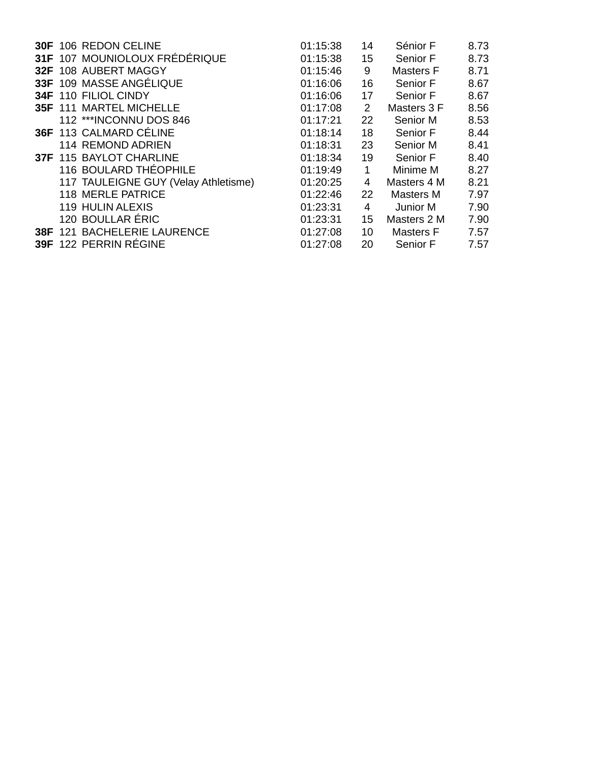|  | 30F 106 REDON CELINE                 | 01:15:38 | 14             | Sénior F         | 8.73 |
|--|--------------------------------------|----------|----------------|------------------|------|
|  | 31F 107 MOUNIOLOUX FRÉDÉRIQUE        | 01:15:38 | 15             | Senior F         | 8.73 |
|  | 32F 108 AUBERT MAGGY                 | 01:15:46 | 9              | <b>Masters F</b> | 8.71 |
|  | 33F 109 MASSE ANGÉLIQUE              | 01:16:06 | 16             | Senior F         | 8.67 |
|  | 34F 110 FILIOL CINDY                 | 01:16:06 | 17             | Senior F         | 8.67 |
|  | <b>35F 111 MARTEL MICHELLE</b>       | 01:17:08 | $\overline{2}$ | Masters 3 F      | 8.56 |
|  | 112 *** INCONNU DOS 846              | 01:17:21 | 22             | Senior M         | 8.53 |
|  | 36F 113 CALMARD CÉLINE               | 01:18:14 | 18             | Senior F         | 8.44 |
|  | <b>114 REMOND ADRIEN</b>             | 01:18:31 | 23             | Senior M         | 8.41 |
|  | 37F 115 BAYLOT CHARLINE              | 01:18:34 | 19             | Senior F         | 8.40 |
|  | 116 BOULARD THÉOPHILE                | 01:19:49 | $\mathbf{1}$   | Minime M         | 8.27 |
|  | 117 TAULEIGNE GUY (Velay Athletisme) | 01:20:25 | 4              | Masters 4 M      | 8.21 |
|  | 118 MERLE PATRICE                    | 01:22:46 | 22             | Masters M        | 7.97 |
|  | 119 HULIN ALEXIS                     | 01:23:31 | 4              | Junior M         | 7.90 |
|  | 120 BOULLAR ÉRIC                     | 01:23:31 | 15             | Masters 2 M      | 7.90 |
|  | 38F 121 BACHELERIE LAURENCE          | 01:27:08 | 10             | <b>Masters F</b> | 7.57 |
|  | 39F 122 PERRIN RÉGINE                | 01:27:08 | 20             | Senior F         | 7.57 |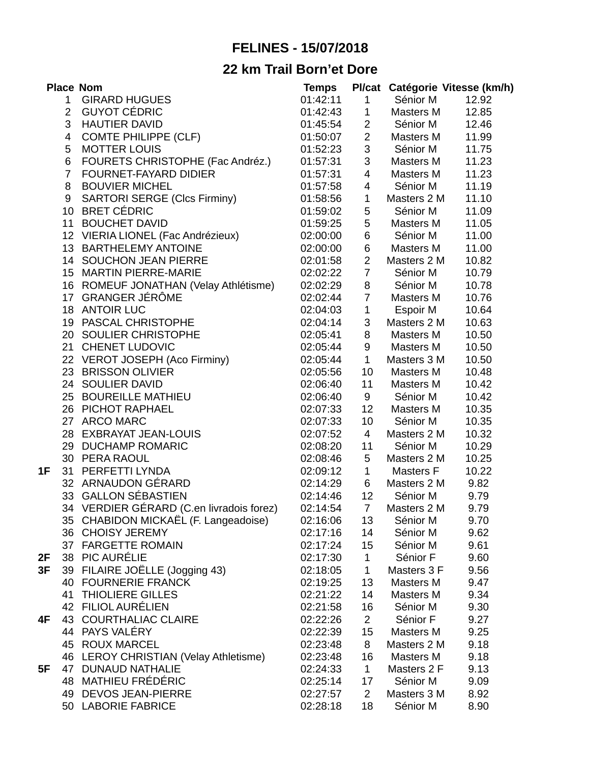## **FELINES - 15/07/2018**

## **22 km Trail Born'et Dore**

|    |                | <b>Place Nom</b>                         | <b>Temps</b> |                         |             | Pl/cat Catégorie Vitesse (km/h) |
|----|----------------|------------------------------------------|--------------|-------------------------|-------------|---------------------------------|
|    | $\mathbf{1}$   | <b>GIRARD HUGUES</b>                     | 01:42:11     | $\mathbf{1}$            | Sénior M    | 12.92                           |
|    | $2^{\circ}$    | <b>GUYOT CÉDRIC</b>                      | 01:42:43     | $\mathbf 1$             | Masters M   | 12.85                           |
|    | 3              | <b>HAUTIER DAVID</b>                     | 01:45:54     | $\overline{2}$          | Sénior M    | 12.46                           |
|    | 4              | <b>COMTE PHILIPPE (CLF)</b>              | 01:50:07     | $\overline{c}$          | Masters M   | 11.99                           |
|    | 5              | <b>MOTTER LOUIS</b>                      | 01:52:23     | $\mathsf 3$             | Sénior M    | 11.75                           |
|    | 6              | FOURETS CHRISTOPHE (Fac Andréz.)         | 01:57:31     | 3                       | Masters M   | 11.23                           |
|    | $\overline{7}$ | FOURNET-FAYARD DIDIER                    | 01:57:31     | 4                       | Masters M   | 11.23                           |
|    | 8              | <b>BOUVIER MICHEL</b>                    | 01:57:58     | $\overline{\mathbf{4}}$ | Sénior M    | 11.19                           |
|    | 9              | <b>SARTORI SERGE (Clcs Firminy)</b>      | 01:58:56     | $\mathbf{1}$            | Masters 2 M | 11.10                           |
|    |                | 10 BRET CÉDRIC                           | 01:59:02     | 5                       | Sénior M    | 11.09                           |
|    |                | 11 BOUCHET DAVID                         | 01:59:25     | 5                       | Masters M   | 11.05                           |
|    |                | 12 VIERIA LIONEL (Fac Andrézieux)        | 02:00:00     | $\,6\,$                 | Sénior M    | 11.00                           |
|    |                | 13 BARTHELEMY ANTOINE                    | 02:00:00     | $\,6\,$                 | Masters M   | 11.00                           |
|    |                | 14 SOUCHON JEAN PIERRE                   | 02:01:58     | $\overline{c}$          | Masters 2 M | 10.82                           |
|    |                | 15 MARTIN PIERRE-MARIE                   | 02:02:22     | $\overline{7}$          | Sénior M    | 10.79                           |
|    |                | 16 ROMEUF JONATHAN (Velay Athlétisme)    | 02:02:29     | $\, 8$                  | Sénior M    | 10.78                           |
|    |                | 17 GRANGER JÉRÔME                        | 02:02:44     | $\overline{7}$          | Masters M   | 10.76                           |
|    |                | 18 ANTOIR LUC                            | 02:04:03     | $\mathbf 1$             | Espoir M    | 10.64                           |
|    |                | 19 PASCAL CHRISTOPHE                     | 02:04:14     | 3                       | Masters 2 M | 10.63                           |
|    |                | 20 SOULIER CHRISTOPHE                    | 02:05:41     | $\, 8$                  | Masters M   | 10.50                           |
|    |                | 21 CHENET LUDOVIC                        | 02:05:44     | 9                       | Masters M   | 10.50                           |
|    |                | 22 VEROT JOSEPH (Aco Firminy)            | 02:05:44     | $\mathbf{1}$            | Masters 3 M | 10.50                           |
|    |                | 23 BRISSON OLIVIER                       | 02:05:56     | 10                      | Masters M   | 10.48                           |
|    |                | 24 SOULIER DAVID                         | 02:06:40     | 11                      | Masters M   | 10.42                           |
|    |                | 25 BOUREILLE MATHIEU                     | 02:06:40     | 9                       | Sénior M    | 10.42                           |
|    |                | 26 PICHOT RAPHAEL                        | 02:07:33     | 12                      | Masters M   | 10.35                           |
|    |                | 27 ARCO MARC                             | 02:07:33     | 10                      | Sénior M    | 10.35                           |
|    |                | 28 EXBRAYAT JEAN-LOUIS                   | 02:07:52     | $\overline{4}$          | Masters 2 M | 10.32                           |
|    |                | 29 DUCHAMP ROMARIC                       | 02:08:20     | 11                      | Sénior M    | 10.29                           |
|    |                | 30 PERA RAOUL                            | 02:08:46     | 5                       | Masters 2 M | 10.25                           |
| 1F |                | 31 PERFETTI LYNDA                        | 02:09:12     | $\mathbf 1$             | Masters F   | 10.22                           |
|    |                | 32 ARNAUDON GÉRARD                       | 02:14:29     | 6                       | Masters 2 M | 9.82                            |
|    |                | 33 GALLON SÉBASTIEN                      | 02:14:46     | 12                      | Sénior M    | 9.79                            |
|    |                | 34 VERDIER GÉRARD (C.en livradois forez) | 02:14:54     | $\overline{7}$          | Masters 2 M | 9.79                            |
|    |                | 35 CHABIDON MICKAËL (F. Langeadoise)     | 02:16:06     | 13                      | Sénior M    | 9.70                            |
|    |                | 36 CHOISY JEREMY                         | 02:17:16     | 14                      | Sénior M    | 9.62                            |
|    |                | 37 FARGETTE ROMAIN                       | 02:17:24     | 15                      | Sénior M    | 9.61                            |
| 2F |                | 38 PIC AURÉLIE                           | 02:17:30     | $\mathbf{1}$            | Sénior F    | 9.60                            |
| 3F |                | 39 FILAIRE JOËLLE (Jogging 43)           | 02:18:05     | $\mathbf{1}$            | Masters 3 F | 9.56                            |
|    |                | 40 FOURNERIE FRANCK                      | 02:19:25     | 13                      | Masters M   | 9.47                            |
|    |                | <b>41 THIOLIERE GILLES</b>               | 02:21:22     | 14                      | Masters M   | 9.34                            |
|    |                | 42 FILIOL AURÉLIEN                       | 02:21:58     | 16                      | Sénior M    | 9.30                            |
| 4F |                | 43 COURTHALIAC CLAIRE                    | 02:22:26     | $\overline{2}$          | Sénior F    | 9.27                            |
|    |                | 44 PAYS VALÉRY                           | 02:22:39     | 15                      | Masters M   | 9.25                            |
|    |                | 45 ROUX MARCEL                           | 02:23:48     | 8                       | Masters 2 M | 9.18                            |
|    |                | 46 LEROY CHRISTIAN (Velay Athletisme)    | 02:23:48     | 16                      | Masters M   | 9.18                            |
| 5F |                | 47 DUNAUD NATHALIE                       | 02:24:33     | $\mathbf{1}$            | Masters 2 F | 9.13                            |
|    |                | 48 MATHIEU FRÉDÉRIC                      | 02:25:14     | 17                      | Sénior M    | 9.09                            |
|    |                | 49 DEVOS JEAN-PIERRE                     | 02:27:57     | $\overline{2}$          | Masters 3 M | 8.92                            |
|    |                | 50 LABORIE FABRICE                       | 02:28:18     | 18                      | Sénior M    | 8.90                            |
|    |                |                                          |              |                         |             |                                 |